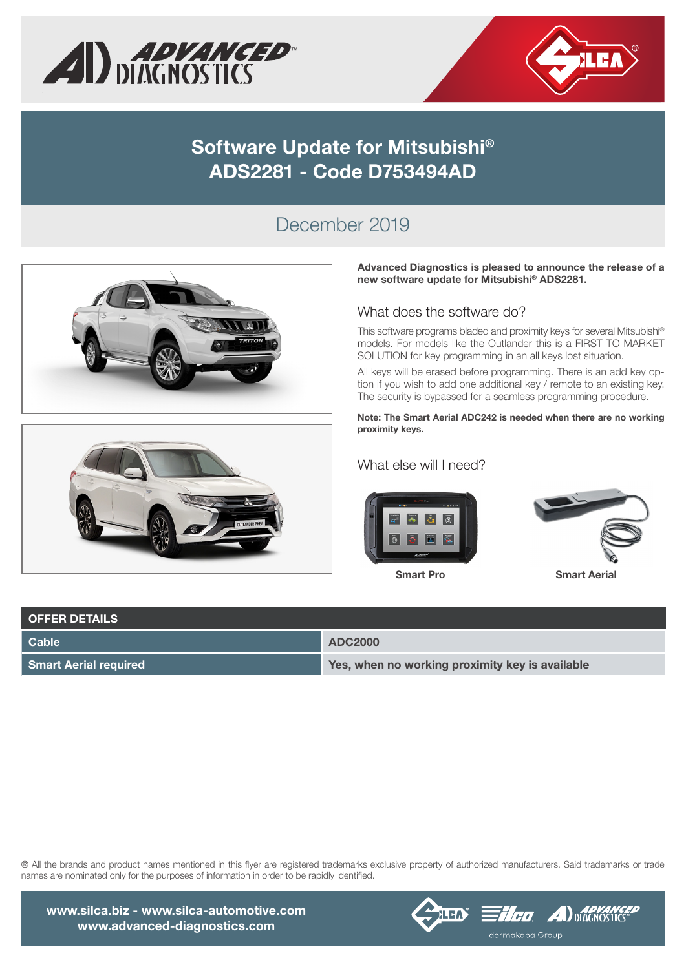



### Software Update for Mitsubishi® ADS2281 - Code D753494AD

#### December 2019





Advanced Diagnostics is pleased to announce the release of a new software update for Mitsubishi® ADS2281.

#### What does the software do?

This software programs bladed and proximity keys for several Mitsubishi® models. For models like the Outlander this is a FIRST TO MARKET SOLUTION for key programming in an all keys lost situation.

All keys will be erased before programming. There is an add key option if you wish to add one additional key / remote to an existing key. The security is bypassed for a seamless programming procedure.

Note: The Smart Aerial ADC242 is needed when there are no working proximity keys.

What else will I need?





| <b>OFFER DETAILS</b>         |                                                 |
|------------------------------|-------------------------------------------------|
| Cable                        | <b>ADC2000</b>                                  |
| <b>Smart Aerial required</b> | Yes, when no working proximity key is available |

® All the brands and product names mentioned in this flyer are registered trademarks exclusive property of authorized manufacturers. Said trademarks or trade names are nominated only for the purposes of information in order to be rapidly identified.